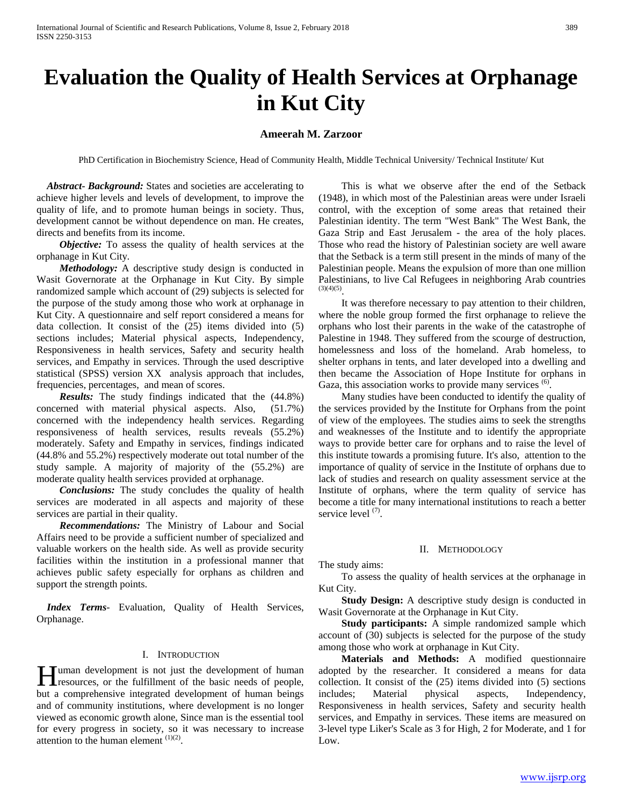# **Evaluation the Quality of Health Services at Orphanage in Kut City**

## **Ameerah M. Zarzoor**

PhD Certification in Biochemistry Science, Head of Community Health, Middle Technical University/ Technical Institute/ Kut

 *Abstract***-** *Background:* States and societies are accelerating to achieve higher levels and levels of development, to improve the quality of life, and to promote human beings in society. Thus, development cannot be without dependence on man. He creates, directs and benefits from its income.

*Objective:* To assess the quality of health services at the orphanage in Kut City*.*

 *Methodology:* A descriptive study design is conducted in Wasit Governorate at the Orphanage in Kut City. By simple randomized sample which account of (29) subjects is selected for the purpose of the study among those who work at orphanage in Kut City. A questionnaire and self report considered a means for data collection. It consist of the (25) items divided into (5) sections includes; Material physical aspects, Independency, Responsiveness in health services, Safety and security health services, and Empathy in services. Through the used descriptive statistical (SPSS) version XX analysis approach that includes, frequencies, percentages, and mean of scores.

 *Results:* The study findings indicated that the (44.8%) concerned with material physical aspects. Also, (51.7%) concerned with the independency health services. Regarding responsiveness of health services, results reveals (55.2%) moderately. Safety and Empathy in services, findings indicated (44.8% and 55.2%) respectively moderate out total number of the study sample. A majority of majority of the (55.2%) are moderate quality health services provided at orphanage.

 *Conclusions:* The study concludes the quality of health services are moderated in all aspects and majority of these services are partial in their quality.

 *Recommendations:* The Ministry of Labour and Social Affairs need to be provide a sufficient number of specialized and valuable workers on the health side. As well as provide security facilities within the institution in a professional manner that achieves public safety especially for orphans as children and support the strength points.

 *Index Terms*- Evaluation, Quality of Health Services, Orphanage.

## I. INTRODUCTION

Tuman development is not just the development of human **H** uman development is not just the development of human resources, or the fulfillment of the basic needs of people, but a comprehensive integrated development of human beings and of community institutions, where development is no longer viewed as economic growth alone, Since man is the essential tool for every progress in society, so it was necessary to increase attention to the human element  $(1)(2)$ .

 This is what we observe after the end of the Setback (1948), in which most of the Palestinian areas were under Israeli control, with the exception of some areas that retained their Palestinian identity. The term "West Bank" The West Bank, the Gaza Strip and East Jerusalem - the area of the holy places. Those who read the history of Palestinian society are well aware that the Setback is a term still present in the minds of many of the Palestinian people. Means the expulsion of more than one million Palestinians, to live Cal Refugees in neighboring Arab countries  $(3)(4)(5)$ 

 It was therefore necessary to pay attention to their children, where the noble group formed the first orphanage to relieve the orphans who lost their parents in the wake of the catastrophe of Palestine in 1948. They suffered from the scourge of destruction, homelessness and loss of the homeland. Arab homeless, to shelter orphans in tents, and later developed into a dwelling and then became the Association of Hope Institute for orphans in Gaza, this association works to provide many services <sup>(6)</sup>.

 Many studies have been conducted to identify the quality of the services provided by the Institute for Orphans from the point of view of the employees. The studies aims to seek the strengths and weaknesses of the Institute and to identify the appropriate ways to provide better care for orphans and to raise the level of this institute towards a promising future. It's also, attention to the importance of quality of service in the Institute of orphans due to lack of studies and research on quality assessment service at the Institute of orphans, where the term quality of service has become a title for many international institutions to reach a better service level  $(7)$ .

#### II. METHODOLOGY

The study aims:

 To assess the quality of health services at the orphanage in Kut City.

 **Study Design:** A descriptive study design is conducted in Wasit Governorate at the Orphanage in Kut City.

 **Study participants:** A simple randomized sample which account of (30) subjects is selected for the purpose of the study among those who work at orphanage in Kut City.

 **Materials and Methods:** A modified questionnaire adopted by the researcher. It considered a means for data collection. It consist of the (25) items divided into (5) sections<br>includes; Material physical aspects, Independency, includes; Material physical aspects, Independency, Responsiveness in health services, Safety and security health services, and Empathy in services. These items are measured on 3-level type Liker's Scale as 3 for High, 2 for Moderate, and 1 for Low.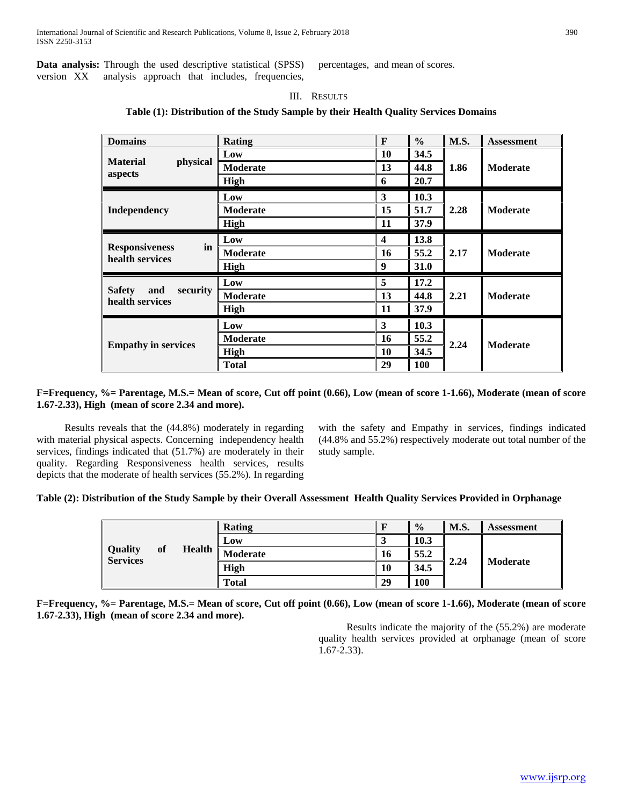**Data analysis:** Through the used descriptive statistical (SPSS) version XX analysis approach that includes, frequencies, percentages, and mean of scores.

## III. RESULTS

**Table (1): Distribution of the Study Sample by their Health Quality Services Domains**

| <b>Domains</b>                                      | <b>Rating</b>   | F  | $\frac{6}{6}$ | M.S. | <b>Assessment</b> |
|-----------------------------------------------------|-----------------|----|---------------|------|-------------------|
| <b>Material</b><br>physical<br>aspects              | Low             | 10 | 34.5          | 1.86 | <b>Moderate</b>   |
|                                                     | <b>Moderate</b> | 13 | 44.8          |      |                   |
|                                                     | High            | 6  | 20.7          |      |                   |
| Independency                                        | Low             | 3  | 10.3          | 2.28 | <b>Moderate</b>   |
|                                                     | <b>Moderate</b> | 15 | 51.7          |      |                   |
|                                                     | High            | 11 | 37.9          |      |                   |
| in<br><b>Responsiveness</b><br>health services      | Low             | 4  | 13.8          |      |                   |
|                                                     | <b>Moderate</b> | 16 | 55.2          | 2.17 | <b>Moderate</b>   |
|                                                     | High            | 9  | <b>31.0</b>   |      |                   |
| <b>Safety</b><br>and<br>security<br>health services | Low             | 5  | 17.2          | 2.21 | <b>Moderate</b>   |
|                                                     | <b>Moderate</b> | 13 | 44.8          |      |                   |
|                                                     | High            | 11 | 37.9          |      |                   |
| <b>Empathy in services</b>                          | Low             | 3  | 10.3          | 2.24 | <b>Moderate</b>   |
|                                                     | Moderate        | 16 | 55.2          |      |                   |
|                                                     | High            | 10 | 34.5          |      |                   |
|                                                     | <b>Total</b>    | 29 | <b>100</b>    |      |                   |

## **F=Frequency, %= Parentage, M.S.= Mean of score, Cut off point (0.66), Low (mean of score 1-1.66), Moderate (mean of score 1.67-2.33), High (mean of score 2.34 and more).**

 Results reveals that the (44.8%) moderately in regarding with material physical aspects. Concerning independency health services, findings indicated that (51.7%) are moderately in their quality. Regarding Responsiveness health services, results depicts that the moderate of health services (55.2%). In regarding

with the safety and Empathy in services, findings indicated (44.8% and 55.2%) respectively moderate out total number of the study sample.

## **Table (2): Distribution of the Study Sample by their Overall Assessment Health Quality Services Provided in Orphanage**

| <b>Quality</b><br>of<br><b>Services</b> |  |               | Rating       |      | $\frac{0}{0}$ | <b>M.S.</b> | Assessment |
|-----------------------------------------|--|---------------|--------------|------|---------------|-------------|------------|
|                                         |  | Low           |              | 10.3 |               |             |            |
|                                         |  | <b>Health</b> | Moderate     | 16   | 55.2          | 2.24        | Moderate   |
|                                         |  |               | <b>High</b>  | 10   | 34.5          |             |            |
|                                         |  |               | <b>Total</b> | 29   | 100           |             |            |

**F=Frequency, %= Parentage, M.S.= Mean of score, Cut off point (0.66), Low (mean of score 1-1.66), Moderate (mean of score 1.67-2.33), High (mean of score 2.34 and more).**

> Results indicate the majority of the (55.2%) are moderate quality health services provided at orphanage (mean of score 1.67-2.33).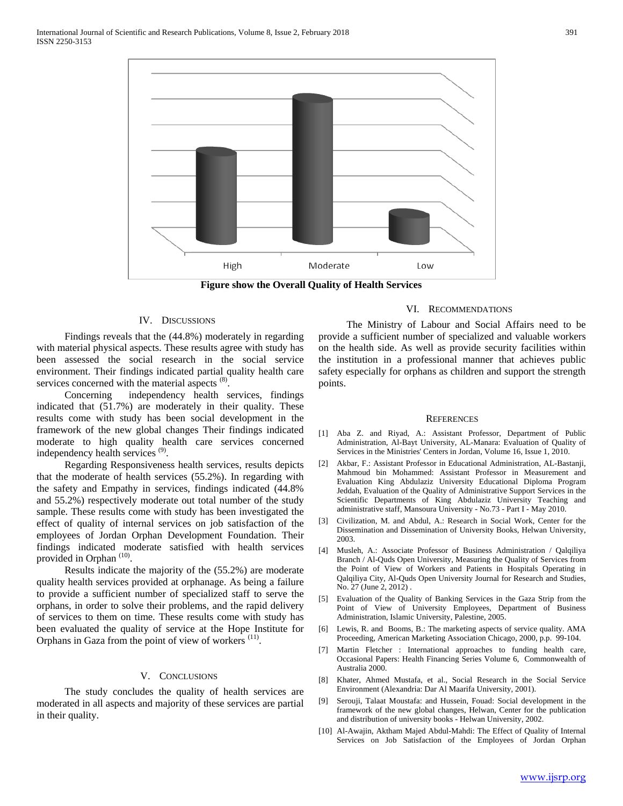

**Figure show the Overall Quality of Health Services**

## IV. DISCUSSIONS

 Findings reveals that the (44.8%) moderately in regarding with material physical aspects. These results agree with study has been assessed the social research in the social service environment. Their findings indicated partial quality health care services concerned with the material aspects  $(8)$ .

 Concerning independency health services, findings indicated that (51.7%) are moderately in their quality. These results come with study has been social development in the framework of the new global changes Their findings indicated moderate to high quality health care services concerned independency health services (9).

 Regarding Responsiveness health services, results depicts that the moderate of health services (55.2%). In regarding with the safety and Empathy in services, findings indicated (44.8% and 55.2%) respectively moderate out total number of the study sample. These results come with study has been investigated the effect of quality of internal services on job satisfaction of the employees of Jordan Orphan Development Foundation. Their findings indicated moderate satisfied with health services provided in Orphan<sup>(10)</sup>.

 Results indicate the majority of the (55.2%) are moderate quality health services provided at orphanage. As being a failure to provide a sufficient number of specialized staff to serve the orphans, in order to solve their problems, and the rapid delivery of services to them on time. These results come with study has been evaluated the quality of service at the Hope Institute for Orphans in Gaza from the point of view of workers <sup>(11)</sup>.

#### V. CONCLUSIONS

 The study concludes the quality of health services are moderated in all aspects and majority of these services are partial in their quality.

## VI. RECOMMENDATIONS

 The Ministry of Labour and Social Affairs need to be provide a sufficient number of specialized and valuable workers on the health side. As well as provide security facilities within the institution in a professional manner that achieves public safety especially for orphans as children and support the strength points.

#### **REFERENCES**

- [1] Aba Z. and Riyad, A.: Assistant Professor, Department of Public Administration, Al-Bayt University, AL-Manara: Evaluation of Quality of Services in the Ministries' Centers in Jordan, Volume 16, Issue 1, 2010.
- [2] Akbar, F.: Assistant Professor in Educational Administration, AL-Bastanji, Mahmoud bin Mohammed: Assistant Professor in Measurement and Evaluation King Abdulaziz University Educational Diploma Program Jeddah, Evaluation of the Quality of Administrative Support Services in the Scientific Departments of King Abdulaziz University Teaching and administrative staff, Mansoura University - No.73 - Part I - May 2010.
- [3] Civilization, M. and Abdul, A.: Research in Social Work, Center for the Dissemination and Dissemination of University Books, Helwan University, 2003.
- [4] Musleh, A.: Associate Professor of Business Administration / Qalqiliya Branch / Al-Quds Open University, Measuring the Quality of Services from the Point of View of Workers and Patients in Hospitals Operating in Qalqiliya City, Al-Quds Open University Journal for Research and Studies, No. 27 (June 2, 2012) .
- [5] Evaluation of the Quality of Banking Services in the Gaza Strip from the Point of View of University Employees, Department of Business Administration, Islamic University, Palestine, 2005.
- [6] Lewis, R. and Booms, B.: The marketing aspects of service quality. AMA Proceeding, American Marketing Association Chicago, 2000, p.p. 99-104.
- [7] Martin Fletcher : International approaches to funding health care, Occasional Papers: Health Financing Series Volume 6, Commonwealth of Australia 2000.
- [8] Khater, Ahmed Mustafa, et al., Social Research in the Social Service Environment (Alexandria: Dar Al Maarifa University, 2001).
- [9] Serouji, Talaat Moustafa: and Hussein, Fouad: Social development in the framework of the new global changes, Helwan, Center for the publication and distribution of university books - Helwan University, 2002.
- [10] Al-Awajin, Aktham Majed Abdul-Mahdi: The Effect of Quality of Internal Services on Job Satisfaction of the Employees of Jordan Orphan